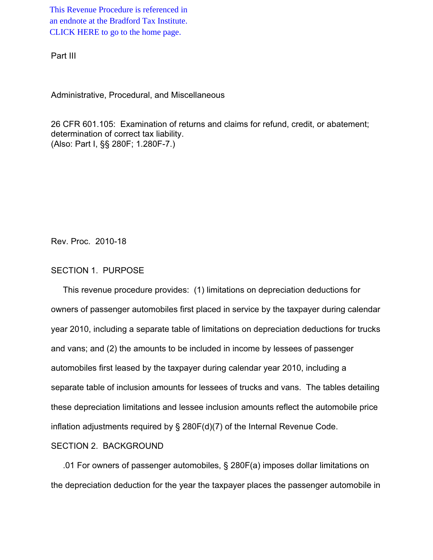This Revenue Procedure is referenced in [an endnote at the Bradford Tax Institute.](http://bradfordtaxinstitute.com/)  CLICK HERE to go to the home page.

Part III

Administrative, Procedural, and Miscellaneous

26 CFR 601.105: Examination of returns and claims for refund, credit, or abatement; determination of correct tax liability. (Also: Part I, §§ 280F; 1.280F-7.)

Rev. Proc. 2010-18

### SECTION 1. PURPOSE

 This revenue procedure provides: (1) limitations on depreciation deductions for owners of passenger automobiles first placed in service by the taxpayer during calendar year 2010, including a separate table of limitations on depreciation deductions for trucks and vans; and (2) the amounts to be included in income by lessees of passenger automobiles first leased by the taxpayer during calendar year 2010, including a separate table of inclusion amounts for lessees of trucks and vans. The tables detailing these depreciation limitations and lessee inclusion amounts reflect the automobile price inflation adjustments required by § 280F(d)(7) of the Internal Revenue Code.

#### SECTION 2. BACKGROUND

 .01 For owners of passenger automobiles, § 280F(a) imposes dollar limitations on the depreciation deduction for the year the taxpayer places the passenger automobile in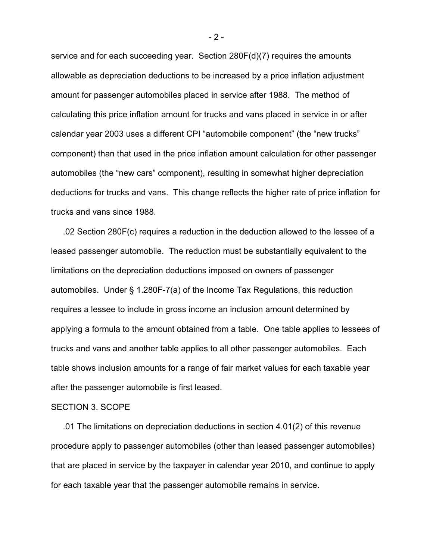service and for each succeeding year. Section 280F(d)(7) requires the amounts allowable as depreciation deductions to be increased by a price inflation adjustment amount for passenger automobiles placed in service after 1988. The method of calculating this price inflation amount for trucks and vans placed in service in or after calendar year 2003 uses a different CPI "automobile component" (the "new trucks" component) than that used in the price inflation amount calculation for other passenger automobiles (the "new cars" component), resulting in somewhat higher depreciation deductions for trucks and vans. This change reflects the higher rate of price inflation for trucks and vans since 1988.

 .02 Section 280F(c) requires a reduction in the deduction allowed to the lessee of a leased passenger automobile. The reduction must be substantially equivalent to the limitations on the depreciation deductions imposed on owners of passenger automobiles. Under § 1.280F-7(a) of the Income Tax Regulations, this reduction requires a lessee to include in gross income an inclusion amount determined by applying a formula to the amount obtained from a table. One table applies to lessees of trucks and vans and another table applies to all other passenger automobiles. Each table shows inclusion amounts for a range of fair market values for each taxable year after the passenger automobile is first leased.

#### SECTION 3. SCOPE

 .01 The limitations on depreciation deductions in section 4.01(2) of this revenue procedure apply to passenger automobiles (other than leased passenger automobiles) that are placed in service by the taxpayer in calendar year 2010, and continue to apply for each taxable year that the passenger automobile remains in service.

 $-2-$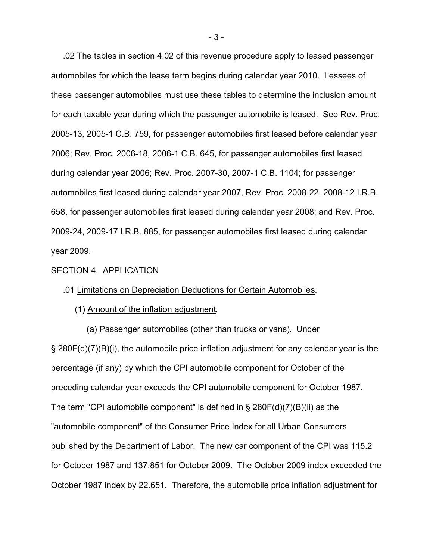.02 The tables in section 4.02 of this revenue procedure apply to leased passenger automobiles for which the lease term begins during calendar year 2010. Lessees of these passenger automobiles must use these tables to determine the inclusion amount for each taxable year during which the passenger automobile is leased. See Rev. Proc. 2005-13, 2005-1 C.B. 759, for passenger automobiles first leased before calendar year 2006; Rev. Proc. 2006-18, 2006-1 C.B. 645, for passenger automobiles first leased during calendar year 2006; Rev. Proc. 2007-30, 2007-1 C.B. 1104; for passenger automobiles first leased during calendar year 2007, Rev. Proc. 2008-22, 2008-12 I.R.B. 658, for passenger automobiles first leased during calendar year 2008; and Rev. Proc. 2009-24, 2009-17 I.R.B. 885, for passenger automobiles first leased during calendar year 2009.

#### SECTION 4. APPLICATION

#### .01 Limitations on Depreciation Deductions for Certain Automobiles.

#### (1) Amount of the inflation adjustment.

 (a) Passenger automobiles (other than trucks or vans). Under § 280F(d)(7)(B)(i), the automobile price inflation adjustment for any calendar year is the percentage (if any) by which the CPI automobile component for October of the preceding calendar year exceeds the CPI automobile component for October 1987. The term "CPI automobile component" is defined in  $\S$  280F(d)(7)(B)(ii) as the "automobile component" of the Consumer Price Index for all Urban Consumers published by the Department of Labor. The new car component of the CPI was 115.2 for October 1987 and 137.851 for October 2009. The October 2009 index exceeded the October 1987 index by 22.651. Therefore, the automobile price inflation adjustment for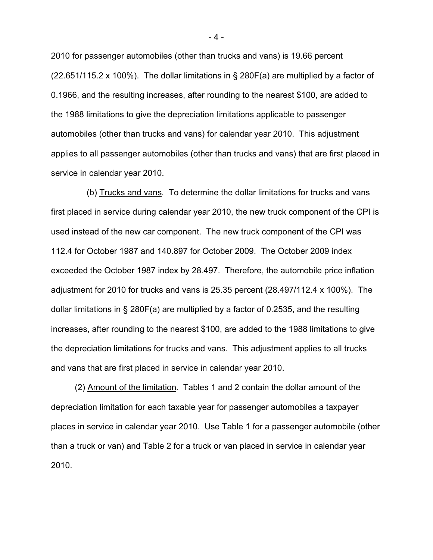2010 for passenger automobiles (other than trucks and vans) is 19.66 percent  $(22.651/115.2 \times 100\%)$ . The dollar limitations in § 280F(a) are multiplied by a factor of 0.1966, and the resulting increases, after rounding to the nearest \$100, are added to the 1988 limitations to give the depreciation limitations applicable to passenger automobiles (other than trucks and vans) for calendar year 2010. This adjustment applies to all passenger automobiles (other than trucks and vans) that are first placed in service in calendar year 2010.

 (b) Trucks and vans. To determine the dollar limitations for trucks and vans first placed in service during calendar year 2010, the new truck component of the CPI is used instead of the new car component. The new truck component of the CPI was 112.4 for October 1987 and 140.897 for October 2009. The October 2009 index exceeded the October 1987 index by 28.497. Therefore, the automobile price inflation adjustment for 2010 for trucks and vans is 25.35 percent (28.497/112.4 x 100%). The dollar limitations in § 280F(a) are multiplied by a factor of 0.2535, and the resulting increases, after rounding to the nearest \$100, are added to the 1988 limitations to give the depreciation limitations for trucks and vans. This adjustment applies to all trucks and vans that are first placed in service in calendar year 2010.

 (2) Amount of the limitation. Tables 1 and 2 contain the dollar amount of the depreciation limitation for each taxable year for passenger automobiles a taxpayer places in service in calendar year 2010. Use Table 1 for a passenger automobile (other than a truck or van) and Table 2 for a truck or van placed in service in calendar year 2010.

- 4 -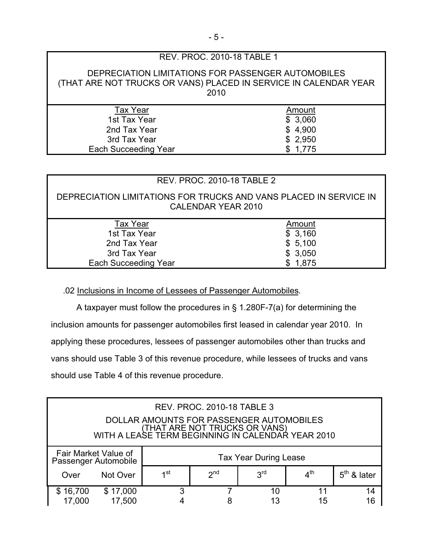|                                                                                                                                | REV. PROC. 2010-18 TABLE 1 |  |  |  |  |  |  |
|--------------------------------------------------------------------------------------------------------------------------------|----------------------------|--|--|--|--|--|--|
| DEPRECIATION LIMITATIONS FOR PASSENGER AUTOMOBILES<br>(THAT ARE NOT TRUCKS OR VANS) PLACED IN SERVICE IN CALENDAR YEAR<br>2010 |                            |  |  |  |  |  |  |
| <b>Tax Year</b>                                                                                                                | Amount                     |  |  |  |  |  |  |
| 1st Tax Year                                                                                                                   | \$3,060                    |  |  |  |  |  |  |
| 2nd Tax Year                                                                                                                   | \$4,900                    |  |  |  |  |  |  |
| 3rd Tax Year                                                                                                                   | \$2,950                    |  |  |  |  |  |  |
| <b>Each Succeeding Year</b>                                                                                                    | \$1,775                    |  |  |  |  |  |  |
|                                                                                                                                |                            |  |  |  |  |  |  |

## REV. PROC. 2010-18 TABLE 2

DEPRECIATION LIMITATIONS FOR TRUCKS AND VANS PLACED IN SERVICE IN CALENDAR YEAR 2010

| <b>Tax Year</b>             | Amount  |
|-----------------------------|---------|
| 1st Tax Year                | \$3,160 |
| 2nd Tax Year                | \$5,100 |
| 3rd Tax Year                | \$3,050 |
| <b>Each Succeeding Year</b> | \$1,875 |

## .02 Inclusions in Income of Lessees of Passenger Automobiles.

 A taxpayer must follow the procedures in § 1.280F-7(a) for determining the inclusion amounts for passenger automobiles first leased in calendar year 2010. In applying these procedures, lessees of passenger automobiles other than trucks and vans should use Table 3 of this revenue procedure, while lessees of trucks and vans should use Table 4 of this revenue procedure.

| <b>REV. PROC. 2010-18 TABLE 3</b><br>DOLLAR AMOUNTS FOR PASSENGER AUTOMOBILES<br>(THAT ARE NOT TRUCKS OR VANS)<br>WITH A LEASE TERM BEGINNING IN CALENDAR YEAR 2010 |                    |                              |                 |                 |                 |               |
|---------------------------------------------------------------------------------------------------------------------------------------------------------------------|--------------------|------------------------------|-----------------|-----------------|-----------------|---------------|
| Fair Market Value of<br>Passenger Automobile                                                                                                                        |                    | <b>Tax Year During Lease</b> |                 |                 |                 |               |
| Over                                                                                                                                                                | Not Over           | 1st                          | 2 <sub>nd</sub> | 3 <sup>rd</sup> | 4 <sup>th</sup> | $5th$ & later |
| \$16,700<br>17,000                                                                                                                                                  | \$17,000<br>17,500 | 3                            |                 | 10<br>13        | 11<br>15        | 14<br>16      |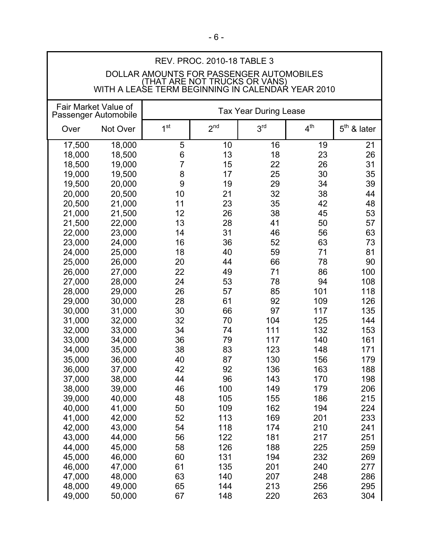| <b>REV. PROC. 2010-18 TABLE 3</b>                                         |                                                   |                 |                 |                              |                 |               |
|---------------------------------------------------------------------------|---------------------------------------------------|-----------------|-----------------|------------------------------|-----------------|---------------|
|                                                                           |                                                   |                 |                 |                              |                 |               |
| DOLLAR AMOUNTS FOR PASSENGER AUTOMOBILES<br>(THAT ARE NOT TRUCKS OR VANS) |                                                   |                 |                 |                              |                 |               |
|                                                                           | WITH A LEASE TERM BEGINNING IN CALENDAR YEAR 2010 |                 |                 |                              |                 |               |
|                                                                           | Fair Market Value of                              |                 |                 |                              |                 |               |
| Passenger Automobile                                                      |                                                   |                 |                 | <b>Tax Year During Lease</b> |                 |               |
| Over                                                                      | Not Over                                          | 1 <sup>st</sup> | 2 <sup>nd</sup> | 3 <sup>rd</sup>              | 4 <sup>th</sup> | $5th$ & later |
|                                                                           |                                                   |                 |                 |                              |                 |               |
| 17,500                                                                    | 18,000                                            | 5               | 10              | 16                           | 19              | 21            |
| 18,000                                                                    | 18,500                                            | 6               | 13              | 18                           | 23              | 26            |
| 18,500                                                                    | 19,000                                            | $\overline{7}$  | 15              | 22                           | 26              | 31            |
| 19,000                                                                    | 19,500                                            | 8               | 17              | 25                           | 30              | 35            |
| 19,500                                                                    | 20,000                                            | 9               | 19              | 29                           | 34              | 39            |
| 20,000                                                                    | 20,500                                            | 10              | 21              | 32                           | 38              | 44            |
| 20,500                                                                    | 21,000                                            | 11              | 23              | 35                           | 42              | 48            |
| 21,000                                                                    | 21,500                                            | 12              | 26              | 38                           | 45              | 53            |
| 21,500                                                                    | 22,000                                            | 13              | 28              | 41                           | 50              | 57            |
| 22,000                                                                    | 23,000                                            | 14              | 31              | 46                           | 56              | 63            |
| 23,000                                                                    | 24,000                                            | 16              | 36              | 52                           | 63              | 73            |
| 24,000                                                                    | 25,000                                            | 18              | 40              | 59                           | 71              | 81            |
| 25,000                                                                    | 26,000                                            | 20              | 44              | 66                           | 78              | 90            |
| 26,000                                                                    | 27,000                                            | 22              | 49              | 71                           | 86              | 100           |
| 27,000                                                                    | 28,000                                            | 24              | 53              | 78                           | 94              | 108           |
| 28,000                                                                    | 29,000                                            | 26              | 57              | 85                           | 101             | 118           |
| 29,000                                                                    | 30,000                                            | 28              | 61              | 92                           | 109             | 126           |
| 30,000                                                                    | 31,000                                            | 30              | 66              | 97                           | 117             | 135           |
| 31,000                                                                    | 32,000                                            | 32              | 70              | 104                          | 125             | 144           |
| 32,000                                                                    | 33,000                                            | 34              | 74              | 111                          | 132             | 153           |
| 33,000                                                                    | 34,000                                            | 36              | 79              | 117                          | 140             | 161           |
| 34,000                                                                    | 35,000                                            | 38              | 83              | 123                          | 148             | 171           |
| 35,000                                                                    | 36,000                                            | 40              | 87              | 130                          | 156             | 179           |
| 36,000                                                                    |                                                   | 42              | 92              | 136                          | 163             | 188           |
|                                                                           | 37,000<br>38,000                                  | 44              | 96              | 143                          | 170             | 198           |
| 37,000<br>38,000                                                          | 39,000                                            | 46              | 100             | 149                          | 179             | 206           |
|                                                                           |                                                   | 48              | 105             | 155                          | 186             |               |
| 39,000                                                                    | 40,000                                            |                 |                 |                              |                 | 215           |
| 40,000                                                                    | 41,000                                            | 50              | 109             | 162                          | 194             | 224           |
| 41,000                                                                    | 42,000                                            | 52              | 113             | 169                          | 201             | 233           |
| 42,000                                                                    | 43,000                                            | 54              | 118             | 174                          | 210             | 241           |
| 43,000                                                                    | 44,000                                            | 56              | 122             | 181                          | 217             | 251           |
| 44,000                                                                    | 45,000                                            | 58              | 126             | 188                          | 225             | 259           |
| 45,000                                                                    | 46,000                                            | 60              | 131             | 194                          | 232             | 269           |
| 46,000                                                                    | 47,000                                            | 61              | 135             | 201                          | 240             | 277           |
| 47,000                                                                    | 48,000                                            | 63              | 140             | 207                          | 248             | 286           |
| 48,000                                                                    | 49,000                                            | 65              | 144             | 213                          | 256             | 295           |
| 49,000                                                                    | 50,000                                            | 67              | 148             | 220                          | 263             | 304           |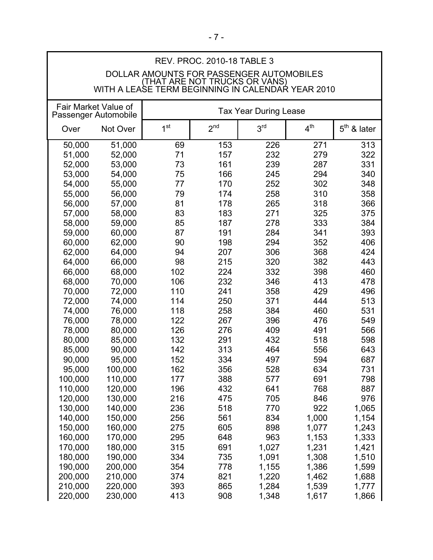| REV. FRUU. ZU IU- 10 TADLE J<br>DOLLAR AMOUNTS FOR PASSENGER AUTOMOBILES<br>VITH A LEASE TERM BEGINNING IN CALENDAR YEAR 2010 |          |                 |                 |                 |                 |               |
|-------------------------------------------------------------------------------------------------------------------------------|----------|-----------------|-----------------|-----------------|-----------------|---------------|
| Fair Market Value of<br><b>Tax Year During Lease</b><br>Passenger Automobile                                                  |          |                 |                 |                 |                 |               |
| Over                                                                                                                          | Not Over | 1 <sup>st</sup> | 2 <sup>nd</sup> | 3 <sup>rd</sup> | 4 <sup>th</sup> | $5th$ & later |
| 50,000                                                                                                                        | 51,000   | 69              | 153             | 226             | 271             | 313           |
| 51,000                                                                                                                        | 52,000   | 71              | 157             | 232             | 279             | 322           |
| 52,000                                                                                                                        | 53,000   | 73              | 161             | 239             | 287             | 331           |
| 53,000                                                                                                                        | 54,000   | 75              | 166             | 245             | 294             | 340           |
| 54,000                                                                                                                        | 55,000   | 77              | 170             | 252             | 302             | 348           |
| 55,000                                                                                                                        | 56,000   | 79              | 174             | 258             | 310             | 358           |
| 56,000                                                                                                                        | 57,000   | 81              | 178             | 265             | 318             | 366           |
| 57,000                                                                                                                        | 58,000   | 83              | 183             | 271             | 325             | 375           |
| 58,000                                                                                                                        | 59,000   | 85              | 187             | 278             | 333             | 384           |
| 59,000                                                                                                                        | 60,000   | 87              | 191             | 284             | 341             | 393           |
| 60,000                                                                                                                        | 62,000   | 90              | 198             | 294             | 352             | 406           |
| 62,000                                                                                                                        | 64,000   | 94              | 207             | 306             | 368             | 424           |
| 64,000                                                                                                                        | 66,000   | 98              | 215             | 320             | 382             | 443           |
| 66,000                                                                                                                        | 68,000   | 102             | 224             | 332             | 398             | 460           |
| 68,000                                                                                                                        | 70,000   | 106             | 232             | 346             | 413             | 478           |
| 70,000                                                                                                                        | 72,000   | 110             | 241             | 358             | 429             | 496           |
| 72,000                                                                                                                        | 74,000   | 114             | 250             | 371             | 444             | 513           |
| 74,000                                                                                                                        | 76,000   | 118             | 258             | 384             | 460             | 531           |
| 76,000                                                                                                                        | 78,000   | 122             | 267             | 396             | 476             | 549           |
| 78,000                                                                                                                        | 80,000   | 126             | 276             | 409             | 491             | 566           |
| 80,000                                                                                                                        | 85,000   | 132             | 291             | 432             | 518             | 598           |
| 85,000                                                                                                                        | 90,000   | 142             | 313             | 464             | 556             | 643           |
| 90,000                                                                                                                        | 95,000   | 152             | 334             | 497             | 594             | 687           |
| 95,000                                                                                                                        | 100,000  | 162             | 356             | 528             | 634             | 731           |
| 100,000                                                                                                                       | 110,000  | 177             | 388             | 577             | 691             | 798           |
| 110,000                                                                                                                       | 120,000  | 196             | 432             | 641             | 768             | 887           |
| 120,000                                                                                                                       | 130,000  | 216             | 475             | 705             | 846             | 976           |
| 130,000                                                                                                                       | 140,000  | 236             | 518             | 770             | 922             | 1,065         |
| 140,000                                                                                                                       | 150,000  | 256             | 561             | 834             | 1,000           | 1,154         |
| 150,000                                                                                                                       | 160,000  | 275             | 605             | 898             | 1,077           | 1,243         |
| 160,000                                                                                                                       | 170,000  | 295             | 648             | 963             | 1,153           | 1,333         |
| 170,000                                                                                                                       | 180,000  | 315             | 691             | 1,027           | 1,231           | 1,421         |
| 180,000                                                                                                                       | 190,000  | 334             | 735             | 1,091           | 1,308           | 1,510         |
| 190,000                                                                                                                       | 200,000  | 354             | 778             | 1,155           | 1,386           | 1,599         |
| 200,000                                                                                                                       | 210,000  | 374             | 821             | 1,220           | 1,462           | 1,688         |
| 210,000                                                                                                                       | 220,000  | 393             | 865             | 1,284           | 1,539           | 1,777         |
| 220,000                                                                                                                       | 230,000  | 413             | 908             | 1,348           | 1,617           | 1,866         |

 $\mathsf{I}$ 

# REV. PROC. 2010-18 TABLE 3

 $\Gamma$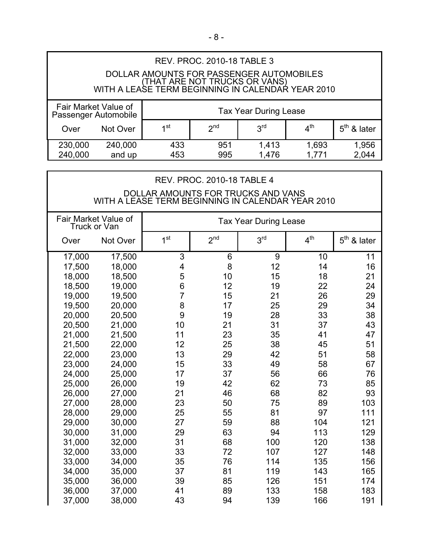# REV. PROC. 2010-18 TABLE 3 DOLLAR AMOUNTS FOR PASSENGER AUTOMOBILES (THAT ARE NOT TRUCKS OR VANS) WITH A LEASE TERM BEGINNING IN CALENDAR YEAR 2010 Fair Market Value of Indian States Tax Year During Lease<br>Passenger Automobile Over Not Over  $1^{st}$   $2^{nd}$   $3^{rd}$   $4^{th}$   $5^{th}$  & later 230,000 240,000 433 951 1,413 1,693 1,956

240,000 and up 453 995 1,476 1,771 2,044

| <b>REV. PROC. 2010-18 TABLE 4</b><br>DOLLAR AMOUNTS FOR TRUCKS AND VANS<br>WITH A LEASE TERM BEGINNING IN CALENDAR YEAR 2010 |          |                 |                 |                 |                 |               |
|------------------------------------------------------------------------------------------------------------------------------|----------|-----------------|-----------------|-----------------|-----------------|---------------|
| Fair Market Value of<br><b>Tax Year During Lease</b><br>Truck or Van                                                         |          |                 |                 |                 |                 |               |
| Over                                                                                                                         | Not Over | 1 <sup>st</sup> | 2 <sup>nd</sup> | 3 <sup>rd</sup> | 4 <sup>th</sup> | $5th$ & later |
| 17,000                                                                                                                       | 17,500   | 3               | 6               | 9               | 10              | 11            |
| 17,500                                                                                                                       | 18,000   | 4               | 8               | 12              | 14              | 16            |
| 18,000                                                                                                                       | 18,500   | 5               | 10              | 15              | 18              | 21            |
| 18,500                                                                                                                       | 19,000   | 6               | 12              | 19              | 22              | 24            |
| 19,000                                                                                                                       | 19,500   | $\overline{7}$  | 15              | 21              | 26              | 29            |
| 19,500                                                                                                                       | 20,000   | 8               | 17              | 25              | 29              | 34            |
| 20,000                                                                                                                       | 20,500   | 9               | 19              | 28              | 33              | 38            |
| 20,500                                                                                                                       | 21,000   | 10              | 21              | 31              | 37              | 43            |
| 21,000                                                                                                                       | 21,500   | 11              | 23              | 35              | 41              | 47            |
| 21,500                                                                                                                       | 22,000   | 12              | 25              | 38              | 45              | 51            |
| 22,000                                                                                                                       | 23,000   | 13              | 29              | 42              | 51              | 58            |
| 23,000                                                                                                                       | 24,000   | 15              | 33              | 49              | 58              | 67            |
| 24,000                                                                                                                       | 25,000   | 17              | 37              | 56              | 66              | 76            |
| 25,000                                                                                                                       | 26,000   | 19              | 42              | 62              | 73              | 85            |
| 26,000                                                                                                                       | 27,000   | 21              | 46              | 68              | 82              | 93            |
| 27,000                                                                                                                       | 28,000   | 23              | 50              | 75              | 89              | 103           |
| 28,000                                                                                                                       | 29,000   | 25              | 55              | 81              | 97              | 111           |
| 29,000                                                                                                                       | 30,000   | 27              | 59              | 88              | 104             | 121           |
| 30,000                                                                                                                       | 31,000   | 29              | 63              | 94              | 113             | 129           |
| 31,000                                                                                                                       | 32,000   | 31              | 68              | 100             | 120             | 138           |
| 32,000                                                                                                                       | 33,000   | 33              | 72              | 107             | 127             | 148           |
| 33,000                                                                                                                       | 34,000   | 35              | 76              | 114             | 135             | 156           |
| 34,000                                                                                                                       | 35,000   | 37              | 81              | 119             | 143             | 165           |
| 35,000                                                                                                                       | 36,000   | 39              | 85              | 126             | 151             | 174           |
| 36,000                                                                                                                       | 37,000   | 41              | 89              | 133             | 158             | 183           |
| 37,000                                                                                                                       | 38,000   | 43              | 94              | 139             | 166             | 191           |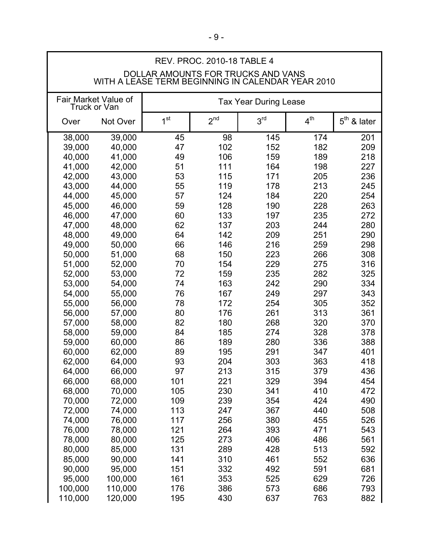| <b>REV. PROC. 2010-18 TABLE 4</b> |                                                                                         |                              |                 |                 |                 |               |  |
|-----------------------------------|-----------------------------------------------------------------------------------------|------------------------------|-----------------|-----------------|-----------------|---------------|--|
|                                   | DOLLAR AMOUNTS FOR TRUCKS AND VANS<br>WITH A LEASE TERM BEGINNING IN CALENDAR YEAR 2010 |                              |                 |                 |                 |               |  |
|                                   | Fair Market Value of<br>Truck or Van                                                    | <b>Tax Year During Lease</b> |                 |                 |                 |               |  |
| Over                              | Not Over                                                                                | 1 <sup>st</sup>              | 2 <sup>nd</sup> | 3 <sup>rd</sup> | 4 <sup>th</sup> | $5th$ & later |  |
| 38,000                            | 39,000                                                                                  | 45                           | 98              | 145             | 174             | 201           |  |
| 39,000                            | 40,000                                                                                  | 47                           | 102             | 152             | 182             | 209           |  |
| 40,000                            | 41,000                                                                                  | 49                           | 106             | 159             | 189             | 218           |  |
| 41,000                            | 42,000                                                                                  | 51                           | 111             | 164             | 198             | 227           |  |
| 42,000                            | 43,000                                                                                  | 53                           | 115             | 171             | 205             | 236           |  |
| 43,000                            | 44,000                                                                                  | 55                           | 119             | 178             | 213             | 245           |  |
| 44,000                            | 45,000                                                                                  | 57                           | 124             | 184             | 220             | 254           |  |
| 45,000                            | 46,000                                                                                  | 59                           | 128             | 190             | 228             | 263           |  |
| 46,000                            | 47,000                                                                                  | 60                           | 133             | 197             | 235             | 272           |  |
| 47,000                            | 48,000                                                                                  | 62                           | 137             | 203             | 244             | 280           |  |
| 48,000                            | 49,000                                                                                  | 64                           | 142             | 209             | 251             | 290           |  |
| 49,000                            | 50,000                                                                                  | 66                           | 146             | 216             | 259             | 298           |  |
| 50,000                            | 51,000                                                                                  | 68                           | 150             | 223             | 266             | 308           |  |
| 51,000                            | 52,000                                                                                  | 70                           | 154             | 229             | 275             | 316           |  |
| 52,000                            | 53,000                                                                                  | 72                           | 159             | 235             | 282             | 325           |  |
| 53,000                            | 54,000                                                                                  | 74                           | 163             | 242             | 290             | 334           |  |
| 54,000                            | 55,000                                                                                  | 76                           | 167             | 249             | 297             | 343           |  |
| 55,000                            | 56,000                                                                                  | 78                           | 172             | 254             | 305             | 352           |  |
| 56,000                            | 57,000                                                                                  | 80                           | 176             | 261             | 313             | 361           |  |
| 57,000                            | 58,000                                                                                  | 82                           | 180             | 268             | 320             | 370           |  |
| 58,000                            | 59,000                                                                                  | 84                           | 185             | 274             | 328             | 378           |  |
| 59,000                            | 60,000                                                                                  | 86                           | 189             | 280             | 336             | 388           |  |
| 60,000                            | 62,000                                                                                  | 89                           | 195             | 291             | 347             | 401           |  |
| 62,000                            | 64,000                                                                                  | 93                           | 204             | 303             | 363             | 418           |  |
| 64,000                            | 66,000                                                                                  | 97                           | 213             | 315             | 379             | 436           |  |
| 66,000                            | 68,000                                                                                  | 101                          | 221             | 329             | 394             | 454           |  |
| 68,000                            | 70,000                                                                                  | 105                          | 230             | 341             | 410             | 472           |  |
| 70,000                            | 72,000                                                                                  | 109                          | 239             | 354             | 424             | 490           |  |
| 72,000                            | 74,000                                                                                  | 113                          | 247             | 367             | 440             | 508           |  |
| 74,000                            | 76,000                                                                                  | 117                          | 256             | 380             | 455             | 526           |  |
| 76,000                            | 78,000                                                                                  | 121                          | 264             | 393             | 471             | 543           |  |
| 78,000                            | 80,000                                                                                  | 125                          | 273             | 406             | 486             | 561           |  |
| 80,000                            | 85,000                                                                                  | 131                          | 289             | 428             | 513             | 592           |  |
| 85,000                            | 90,000                                                                                  | 141                          | 310             | 461             | 552             | 636           |  |
| 90,000                            | 95,000                                                                                  | 151                          | 332             | 492             | 591             | 681           |  |
| 95,000                            | 100,000                                                                                 | 161                          | 353             | 525             | 629             | 726           |  |
| 100,000                           | 110,000                                                                                 | 176                          | 386             | 573             | 686             | 793           |  |
| 110,000                           | 120,000                                                                                 | 195                          | 430             | 637             | 763             | 882           |  |